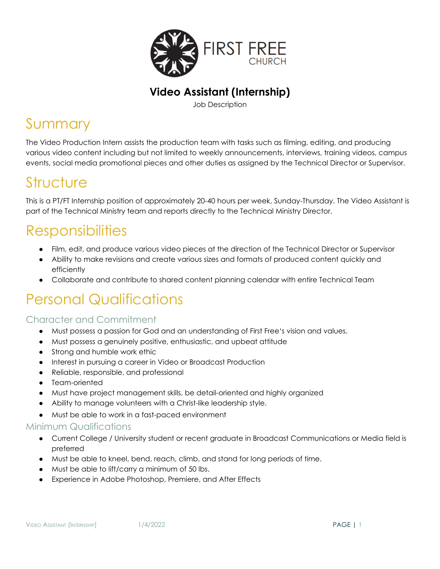

### **Video Assistant (Internship)**

Job Description

## Summary

The Video Production Intern assists the production team with tasks such as filming, editing, and producing various video content including but not limited to weekly announcements, interviews, training videos, campus events, social media promotional pieces and other duties as assigned by the Technical Director or Supervisor.

# **Structure**

This is a PT/FT Internship position of approximately 20-40 hours per week, Sunday-Thursday. The Video Assistant is part of the Technical Ministry team and reports directly to the Technical Ministry Director.

# **Responsibilities**

- Film, edit, and produce various video pieces at the direction of the Technical Director or Supervisor
- Ability to make revisions and create various sizes and formats of produced content quickly and efficiently
- Collaborate and contribute to shared content planning calendar with entire Technical Team

# Personal Qualifications

### Character and Commitment

- Must possess a passion for God and an understanding of First Free's vision and values.
- Must possess a genuinely positive, enthusiastic, and upbeat attitude
- Strong and humble work ethic
- Interest in pursuing a career in Video or Broadcast Production
- Reliable, responsible, and professional
- Team-oriented
- Must have project management skills, be detail-oriented and highly organized
- Ability to manage volunteers with a Christ-like leadership style.
- Must be able to work in a fast-paced environment

#### Minimum Qualifications

- Current College / University student or recent graduate in Broadcast Communications or Media field is preferred
- Must be able to kneel, bend, reach, climb, and stand for long periods of time.
- Must be able to lift/carry a minimum of 50 lbs.
- Experience in Adobe Photoshop, Premiere, and After Effects